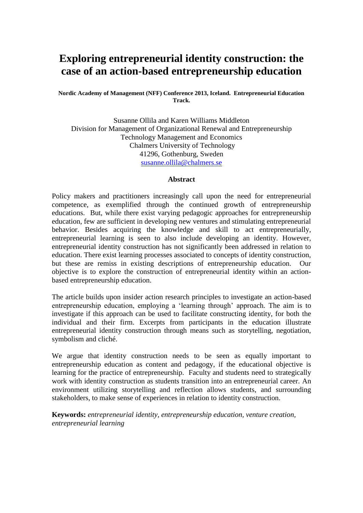# **Exploring entrepreneurial identity construction: the case of an action-based entrepreneurship education**

**Nordic Academy of Management (NFF) Conference 2013, Iceland. Entrepreneurial Education Track.** 

Susanne Ollila and Karen Williams Middleton Division for Management of Organizational Renewal and Entrepreneurship Technology Management and Economics Chalmers University of Technology 41296, Gothenburg, Sweden [susanne.ollila@chalmers.se](mailto:susanne.ollila@chalmers.se)

#### **Abstract**

Policy makers and practitioners increasingly call upon the need for entrepreneurial competence, as exemplified through the continued growth of entrepreneurship educations. But, while there exist varying pedagogic approaches for entrepreneurship education, few are sufficient in developing new ventures and stimulating entrepreneurial behavior. Besides acquiring the knowledge and skill to act entrepreneurially, entrepreneurial learning is seen to also include developing an identity. However, entrepreneurial identity construction has not significantly been addressed in relation to education. There exist learning processes associated to concepts of identity construction, but these are remiss in existing descriptions of entrepreneurship education. Our objective is to explore the construction of entrepreneurial identity within an actionbased entrepreneurship education.

The article builds upon insider action research principles to investigate an action-based entrepreneurship education, employing a 'learning through' approach. The aim is to investigate if this approach can be used to facilitate constructing identity, for both the individual and their firm. Excerpts from participants in the education illustrate entrepreneurial identity construction through means such as storytelling, negotiation, symbolism and cliché.

We argue that identity construction needs to be seen as equally important to entrepreneurship education as content and pedagogy, if the educational objective is learning for the practice of entrepreneurship. Faculty and students need to strategically work with identity construction as students transition into an entrepreneurial career. An environment utilizing storytelling and reflection allows students, and surrounding stakeholders, to make sense of experiences in relation to identity construction.

**Keywords:** *entrepreneurial identity, entrepreneurship education, venture creation, entrepreneurial learning*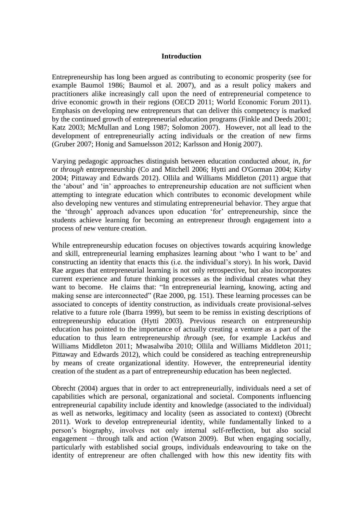## **Introduction**

Entrepreneurship has long been argued as contributing to economic prosperity (see for example Baumol 1986; Baumol et al. 2007), and as a result policy makers and practitioners alike increasingly call upon the need of entrepreneurial competence to drive economic growth in their regions (OECD 2011; World Economic Forum 2011). Emphasis on developing new entrepreneurs that can deliver this competency is marked by the continued growth of entrepreneurial education programs (Finkle and Deeds 2001; Katz 2003; McMullan and Long 1987; Solomon 2007). However, not all lead to the development of entrepreneurially acting individuals or the creation of new firms (Gruber 2007; Honig and Samuelsson 2012; Karlsson and Honig 2007).

Varying pedagogic approaches distinguish between education conducted *about*, *in*, *for* or *through* entrepreneurship (Co and Mitchell 2006; Hytti and O'Gorman 2004; Kirby 2004; Pittaway and Edwards 2012). Ollila and Williams Middleton (2011) argue that the 'about' and 'in' approaches to entrepreneurship education are not sufficient when attempting to integrate education which contributes to economic development while also developing new ventures and stimulating entrepreneurial behavior. They argue that the 'through' approach advances upon education 'for' entrepreneurship, since the students achieve learning for becoming an entrepreneur through engagement into a process of new venture creation.

While entrepreneurship education focuses on objectives towards acquiring knowledge and skill, entrepreneurial learning emphasizes learning about 'who I want to be' and constructing an identity that enacts this (i.e. the individual's story). In his work, David Rae argues that entrepreneurial learning is not only retrospective, but also incorporates current experience and future thinking processes as the individual creates what they want to become. He claims that: "In entrepreneurial learning, knowing, acting and making sense are interconnected" (Rae 2000, pg. 151). These learning processes can be associated to concepts of identity construction, as individuals create provisional-selves relative to a future role (Ibarra 1999), but seem to be remiss in existing descriptions of entrepreneurship education (Hytti 2003). Previous research on entrpreneurship education has pointed to the importance of actually creating a venture as a part of the education to thus learn entrepreneurship *through* (see, for example Lackéus and Williams Middleton 2011; Mwasalwiba 2010; Ollila and Williams Middleton 2011; Pittaway and Edwards 2012), which could be considered as teaching entrepreneurship by means of create organizational identity. However, the entrepreneurial identity creation of the student as a part of entrepreneurship education has been neglected.

Obrecht (2004) argues that in order to act entrepreneurially, individuals need a set of capabilities which are personal, organizational and societal. Components influencing entrepreneurial capability include identity and knowledge (associated to the individual) as well as networks, legitimacy and locality (seen as associated to context) (Obrecht 2011). Work to develop entrepreneurial identity, while fundamentally linked to a person's biography, involves not only internal self-reflection, but also social engagement – through talk and action (Watson 2009). But when engaging socially, particularly with established social groups, individuals endeavouring to take on the identity of entrepreneur are often challenged with how this new identity fits with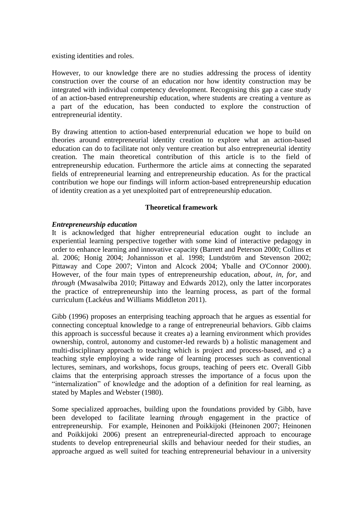existing identities and roles.

However, to our knowledge there are no studies addressing the process of identity construction over the course of an education nor how identity construction may be integrated with individual competency development. Recognising this gap a case study of an action-based entrepreneurship education, where students are creating a venture as a part of the education, has been conducted to explore the construction of entrepreneurial identity.

By drawing attention to action-based enterprenurial education we hope to build on theories around entrepreneurial identity creation to explore what an action-based education can do to facilitate not only venture creation but also entrepreneurial identity creation. The main theoretical contribution of this article is to the field of entrepreneurship education. Furthermore the article aims at connecting the separated fields of entrepreneurial learning and entrepreneurship education. As for the practical contribution we hope our findings will inform action-based entrepreneurship education of identity creation as a yet unexploited part of entrepreneurship education.

## **Theoretical framework**

## *Entrepreneurship education*

It is acknowledged that higher entrepreneurial education ought to include an experiential learning perspective together with some kind of interactive pedagogy in order to enhance learning and innovative capacity (Barrett and Peterson 2000; Collins et al. 2006; Honig 2004; Johannisson et al. 1998; Lundström and Stevenson 2002; Pittaway and Cope 2007; Vinton and Alcock 2004; Yballe and O'Connor 2000). However, of the four main types of entrepreneurship education, *about, in, for,* and *through* (Mwasalwiba 2010; Pittaway and Edwards 2012)*,* only the latter incorporates the practice of entrepreneurship into the learning process, as part of the formal curriculum (Lackéus and Williams Middleton 2011).

Gibb (1996) proposes an enterprising teaching approach that he argues as essential for connecting conceptual knowledge to a range of entrepreneurial behaviors. Gibb claims this approach is successful because it creates a) a learning environment which provides ownership, control, autonomy and customer-led rewards b) a holistic management and multi-disciplinary approach to teaching which is project and process-based, and c) a teaching style employing a wide range of learning processes such as conventional lectures, seminars, and workshops, focus groups, teaching of peers etc. Overall Gibb claims that the enterprising approach stresses the importance of a focus upon the "internalization" of knowledge and the adoption of a definition for real learning, as stated by Maples and Webster (1980).

Some specialized approaches, building upon the foundations provided by Gibb, have been developed to facilitate learning *through* engagement in the practice of entrepreneurship. For example, Heinonen and Poikkijoki (Heinonen 2007; Heinonen and Poikkijoki 2006) present an entrepreneurial-directed approach to encourage students to develop entrepreneurial skills and behaviour needed for their studies, an approache argued as well suited for teaching entrepreneurial behaviour in a university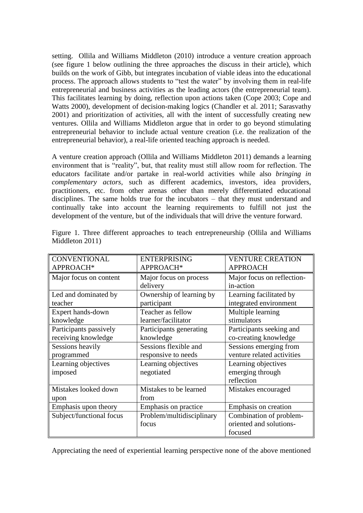setting. Ollila and Williams Middleton (2010) introduce a venture creation approach (see figure 1 below outlining the three approaches the discuss in their article), which builds on the work of Gibb, but integrates incubation of viable ideas into the educational process. The approach allows students to "test the water" by involving them in real-life entrepreneurial and business activities as the leading actors (the entrepreneurial team). This facilitates learning by doing, reflection upon actions taken (Cope 2003; Cope and Watts 2000), development of decision-making logics (Chandler et al. 2011; Sarasvathy 2001) and prioritization of activities, all with the intent of successfully creating new ventures. Ollila and Williams Middleton argue that in order to go beyond stimulating entrepreneurial behavior to include actual venture creation (i.e. the realization of the entrepreneurial behavior), a real-life oriented teaching approach is needed.

A venture creation approach (Ollila and Williams Middleton 2011) demands a learning environment that is "reality", but, that reality must still allow room for reflection. The educators facilitate and/or partake in real-world activities while also *bringing in complementary actors*, such as different academics, investors, idea providers, practitioners, etc. from other arenas other than merely differentiated educational disciplines. The same holds true for the incubators – that they must understand and continually take into account the learning requirements to fulfill not just the development of the venture, but of the individuals that will drive the venture forward.

| <b>CONVENTIONAL</b>      | <b>ENTERPRISING</b>       | <b>VENTURE CREATION</b>    |
|--------------------------|---------------------------|----------------------------|
| APPROACH*                | APPROACH*                 | <b>APPROACH</b>            |
| Major focus on content   | Major focus on process    | Major focus on reflection- |
|                          | delivery                  | in-action                  |
| Led and dominated by     | Ownership of learning by  | Learning facilitated by    |
| teacher                  | participant               | integrated environment     |
| Expert hands-down        | Teacher as fellow         | Multiple learning          |
| knowledge                | learner/facilitator       | stimulators                |
| Participants passively   | Participants generating   | Participants seeking and   |
| receiving knowledge      | knowledge                 | co-creating knowledge      |
| Sessions heavily         | Sessions flexible and     | Sessions emerging from     |
| programmed               | responsive to needs       | venture related activities |
| Learning objectives      | Learning objectives       | Learning objectives        |
| imposed                  | negotiated                | emerging through           |
|                          |                           | reflection                 |
| Mistakes looked down     | Mistakes to be learned    | Mistakes encouraged        |
| upon                     | from                      |                            |
| Emphasis upon theory     | Emphasis on practice      | Emphasis on creation       |
| Subject/functional focus | Problem/multidisciplinary | Combination of problem-    |
|                          | focus                     | oriented and solutions-    |
|                          |                           | focused                    |

Figure 1. Three different approaches to teach entrepreneurship (Ollila and Williams Middleton 2011)

Appreciating the need of experiential learning perspective none of the above mentioned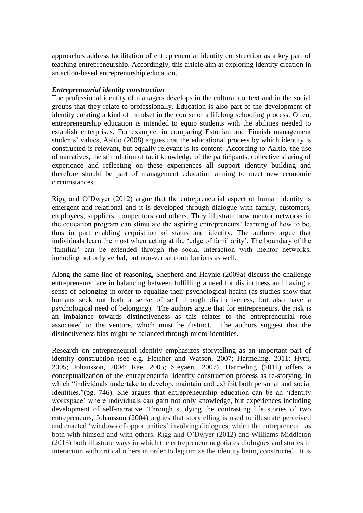approaches address facilitation of entrepreneurial identity construction as a key part of teaching entrepreneurship. Accordingly, this article aim at exploring identity creation in an action-based entreprenurship education.

## *Entrepreneurial identity construction*

The professional identity of managers develops in the cultural context and in the social groups that they relate to professionally. Education is also part of the development of identity creating a kind of mindset in the course of a lifelong schooling process. Often, entrepreneurship education is intended to equip students with the abilities needed to establish enterprises. For example, in comparing Estonian and Finnish management students' values, Aaltio (2008) argues that the educational process by which identity is constructed is relevant, but equally relevant is its content. According to Aaltio, the use of narratives, the stimulation of tacit knowledge of the participants, collective sharing of experience and reflecting on these experiences all support identity building and therefore should be part of management education aiming to meet new economic circumstances.

Rigg and O'Dwyer (2012) argue that the entrepreneurial aspect of human identity is emergent and relational and it is developed through dialogue with family, customers, employees, suppliers, competitors and others. They illustrate how mentor networks in the education program can stimulate the aspiring entrepreneurs' learning of how to be, thus in part enabling acquisition of status and identity. The authors argue that individuals learn the most when acting at the 'edge of familiarity'. The boundary of the 'familiar' can be extended through the social interaction with mentor networks, including not only verbal, but non-verbal contributions as well.

Along the same line of reasoning, Shepherd and Haynie (2009a) discuss the challenge entrepreneurs face in balancing between fulfilling a need for distinctness and having a sense of belonging in order to equalize their psychological health (as studies show that humans seek out both a sense of self through distinctiveness, but also have a psychological need of belonging). The authors argue that for entrepreneurs, the risk is an imbalance towards distinctiveness as this relates to the entrepreneurial role associated to the venture, which must be distinct. The authors suggest that the distinctiveness bias might be balanced through micro-identities.

Research on entrepreneurial identity emphasizes storytelling as an important part of identity construction (see e.g. Fletcher and Watson, 2007; Harmeling, 2011; Hytti, 2005; Johansson, 2004; Rae, 2005; Steyaert, 2007). Harmeling (2011) offers a conceptualization of the entrepreneurial identity construction process as re-storying, in which "individuals undertake to develop, maintain and exhibit both personal and social identities."(pg. 746). She argues that entrepreneurship education can be an 'identity workspace' where individuals can gain not only knowledge, but experiences including development of self-narrative. Through studying the contrasting life stories of two entrepreneurs, Johansson (2004) argues that storytelling is used to illustrate perceived and enacted 'windows of opportunities' involving dialogues, which the entrepreneur has both with himself and with others. Rigg and O'Dwyer (2012) and Williams Middleton (2013) both illustrate ways in which the entrepreneur negotiates diologues and stories in interaction with critical others in order to legitimize the identity being constructed. It is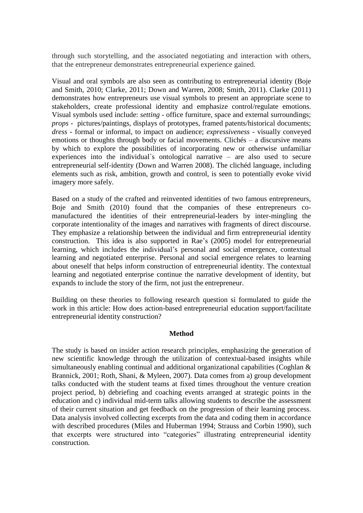through such storytelling, and the associated negotiating and interaction with others, that the entrepreneur demonstrates entrepreneurial experience gained.

Visual and oral symbols are also seen as contributing to entrepreneurial identity (Boje and Smith, 2010; Clarke, 2011; Down and Warren, 2008; Smith, 2011). Clarke (2011) demonstrates how entrepreneurs use visual symbols to present an appropriate scene to stakeholders, create professional identity and emphasize control/regulate emotions. Visual symbols used include: *setting* - office furniture, space and external surroundings; *props* - pictures/paintings, displays of prototypes, framed patents/historical documents; *dress* - formal or informal, to impact on audience; *expressiveness* - visually conveyed emotions or thoughts through body or facial movements. Clichés – a discursive means by which to explore the possibilities of incorporating new or otherwise unfamiliar experiences into the individual´s ontological narrative – are also used to secure entrepreneurial self-identity (Down and Warren 2008). The clichéd language, including elements such as risk, ambition, growth and control, is seen to potentially evoke vivid imagery more safely.

Based on a study of the crafted and reinvented identities of two famous entrepreneurs, Boje and Smith (2010) found that the companies of these entrepreneurs comanufactured the identities of their entrepreneurial-leaders by inter-mingling the corporate intentionality of the images and narratives with fragments of direct discourse. They emphasize a relationship between the individual and firm entrepreneurial identity construction. This idea is also supported in Rae's (2005) model for entrepreneurial learning, which includes the individual's personal and social emergence, contextual learning and negotiated enterprise. Personal and social emergence relates to learning about oneself that helps inform construction of entrepreneurial identity. The contextual learning and negotiated enterprise continue the narrative development of identity, but expands to include the story of the firm, not just the entrepreneur.

Building on these theories to following research question si formulated to guide the work in this article: How does action-based entrepreneurial education support/facilitate entrepreneurial identity construction?

### **Method**

The study is based on insider action research principles, emphasizing the generation of new scientific knowledge through the utilization of contextual-based insights while simultaneously enabling continual and additional organizational capabilities (Coghlan & Brannick, 2001; Roth, Shani, & Myleen, 2007). Data comes from a) group development talks conducted with the student teams at fixed times throughout the venture creation project period, b) debriefing and coaching events arranged at strategic points in the education and c) individual mid-term talks allowing students to describe the assessment of their current situation and get feedback on the progression of their learning process. Data analysis involved collecting excerpts from the data and coding them in accordance with described procedures (Miles and Huberman 1994; Strauss and Corbin 1990), such that excerpts were structured into "categories" illustrating entrepreneurial identity construction.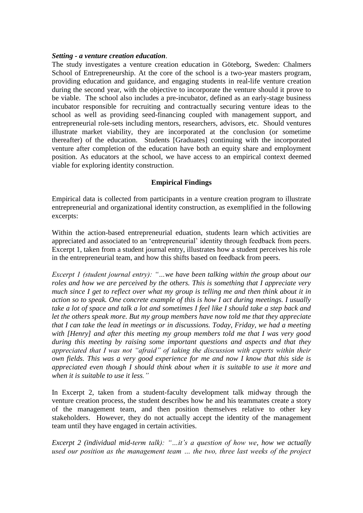### *Setting - a venture creation education*.

The study investigates a venture creation education in Göteborg, Sweden: Chalmers School of Entrepreneurship. At the core of the school is a two-year masters program, providing education and guidance, and engaging students in real-life venture creation during the second year, with the objective to incorporate the venture should it prove to be viable. The school also includes a pre-incubator, defined as an early-stage business incubator responsible for recruiting and contractually securing venture ideas to the school as well as providing seed-financing coupled with management support, and entrepreneurial role-sets including mentors, researchers, advisors, etc. Should ventures illustrate market viability, they are incorporated at the conclusion (or sometime thereafter) of the education. Students [Graduates] continuing with the incorporated venture after completion of the education have both an equity share and employment position. As educators at the school, we have access to an empirical context deemed viable for exploring identity construction.

### **Empirical Findings**

Empirical data is collected from participants in a venture creation program to illustrate entrepreneurial and organizational identity construction, as exemplified in the following excerpts:

Within the action-based entrepreneurial eduation, students learn which activities are appreciated and associated to an 'entrepreneurial' identity through feedback from peers. Excerpt 1, taken from a student journal entry, illustrates how a student perceives his role in the entrepreneurial team, and how this shifts based on feedback from peers.

*Excerpt 1 (student journal entry): "…we have been talking within the group about our roles and how we are perceived by the others. This is something that I appreciate very much since I get to reflect over what my group is telling me and then think about it in action so to speak. One concrete example of this is how I act during meetings. I usually take a lot of space and talk a lot and sometimes I feel like I should take a step back and let the others speak more. But my group members have now told me that they appreciate that I can take the lead in meetings or in discussions. Today, Friday, we had a meeting with [Henry] and after this meeting my group members told me that I was very good during this meeting by raising some important questions and aspects and that they appreciated that I was not "afraid" of taking the discussion with experts within their own fields. This was a very good experience for me and now I know that this side is appreciated even though I should think about when it is suitable to use it more and when it is suitable to use it less."* 

In Excerpt 2, taken from a student-faculty development talk midway through the venture creation process, the student describes how he and his teammates create a story of the management team, and then position themselves relative to other key stakeholders. However, they do not actually accept the identity of the management team until they have engaged in certain activities.

*Excerpt 2 (individual mid-term talk): "…it's a question of how we, how we actually used our position as the management team … the two, three last weeks of the project*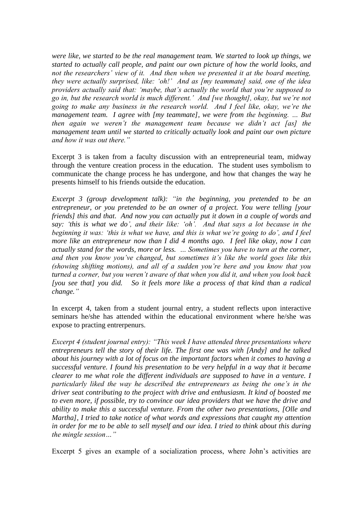*were like, we started to be the real management team. We started to look up things, we started to actually call people, and paint our own picture of how the world looks, and not the researchers' view of it. And then when we presented it at the board meeting, they were actually surprised, like: 'oh!' And as [my teammate] said, one of the idea providers actually said that: 'maybe, that's actually the world that you're supposed to go in, but the research world is much different.' And [we thought], okay, but we're not going to make any business in the research world. And I feel like, okay, we're the management team. I agree with [my teammate], we were from the beginning. … But then again we weren't the management team because we didn't act [as] the management team until we started to critically actually look and paint our own picture and how it was out there."*

Excerpt 3 is taken from a faculty discussion with an entrepreneurial team, midway through the venture creation process in the education. The student uses symbolism to communicate the change process he has undergone, and how that changes the way he presents himself to his friends outside the education.

*Excerpt 3 (group development talk): "in the beginning, you pretended to be an entrepreneur, or you pretended to be an owner of a project. You were telling [your friends] this and that. And now you can actually put it down in a couple of words and say: 'this is what we do', and their like: 'oh'. And that says a lot because in the beginning it was: 'this is what we have, and this is what we're going to do', and I feel more like an entrepreneur now than I did 4 months ago. I feel like okay, now I can actually stand for the words, more or less. … Sometimes you have to turn at the corner, and then you know you've changed, but sometimes it's like the world goes like this (showing shifting motions), and all of a sudden you're here and you know that you turned a corner, but you weren't aware of that when you did it, and when you look back [you see that] you did. So it feels more like a process of that kind than a radical change."*

In excerpt 4, taken from a student journal entry, a student reflects upon interactive seminars he/she has attended within the educational environment where he/she was expose to practing entrerpenurs.

*Excerpt 4 (student journal entry): "This week I have attended three presentations where entrepreneurs tell the story of their life. The first one was with [Andy] and he talked about his journey with a lot of focus on the important factors when it comes to having a successful venture. I found his presentation to be very helpful in a way that it became clearer to me what role the different individuals are supposed to have in a venture. I particularly liked the way he described the entrepreneurs as being the one's in the driver seat contributing to the project with drive and enthusiasm. It kind of boosted me to even more, if possible, try to convince our idea providers that we have the drive and ability to make this a successful venture. From the other two presentations, [Olle and Martha], I tried to take notice of what words and expressions that caught my attention in order for me to be able to sell myself and our idea. I tried to think about this during the mingle session…"*

Excerpt 5 gives an example of a socialization process, where John's activities are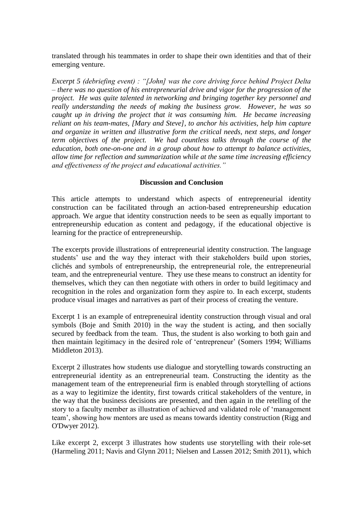translated through his teammates in order to shape their own identities and that of their emerging venture.

*Excerpt 5 (debriefing event) : "[John] was the core driving force behind Project Delta – there was no question of his entrepreneurial drive and vigor for the progression of the project. He was quite talented in networking and bringing together key personnel and really understanding the needs of making the business grow. However, he was so caught up in driving the project that it was consuming him. He became increasing reliant on his team-mates, [Mary and Steve], to anchor his activities, help him capture and organize in written and illustrative form the critical needs, next steps, and longer term objectives of the project. We had countless talks through the course of the education, both one-on-one and in a group about how to attempt to balance activities, allow time for reflection and summarization while at the same time increasing efficiency and effectiveness of the project and educational activities."*

## **Discussion and Conclusion**

This article attempts to understand which aspects of entrepreneurial identity construction can be facilitated through an action-based entrepreneurship education approach. We argue that identity construction needs to be seen as equally important to entrepreneurship education as content and pedagogy, if the educational objective is learning for the practice of entrepreneurship.

The excerpts provide illustrations of entrepreneurial identity construction. The language students' use and the way they interact with their stakeholders build upon stories, clichés and symbols of entrepreneurship, the entrepreneurial role, the entrepreneurial team, and the entrepreneurial venture. They use these means to construct an identity for themselves, which they can then negotiate with others in order to build legitimacy and recognition in the roles and organization form they aspire to. In each excerpt, students produce visual images and narratives as part of their process of creating the venture.

Excerpt 1 is an example of entrepreneuiral identity construction through visual and oral symbols (Boje and Smith 2010) in the way the student is acting, and then socially secured by feedback from the team. Thus, the student is also working to both gain and then maintain legitimacy in the desired role of 'entrepreneur' (Somers 1994; Williams Middleton 2013).

Excerpt 2 illustrates how students use dialogue and storytelling towards constructing an entrepreneurial identity as an entrepreneurial team. Constructing the identity as the management team of the entrepreneurial firm is enabled through storytelling of actions as a way to legitimize the identity, first towards critical stakeholders of the venture, in the way that the business decisions are presented, and then again in the retelling of the story to a faculty member as illustration of achieved and validated role of 'management team', showing how mentors are used as means towards identity construction (Rigg and O'Dwyer 2012).

Like excerpt 2, excerpt 3 illustrates how students use storytelling with their role-set (Harmeling 2011; Navis and Glynn 2011; Nielsen and Lassen 2012; Smith 2011), which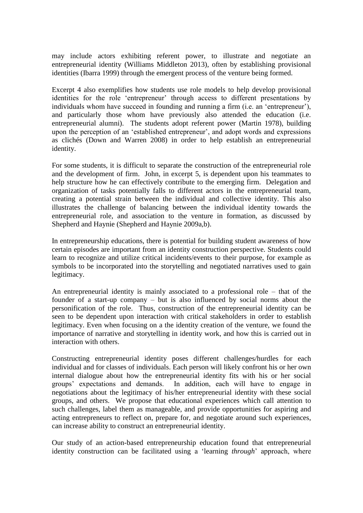may include actors exhibiting referent power, to illustrate and negotiate an entrepreneurial identity (Williams Middleton 2013), often by establishing provisional identities (Ibarra 1999) through the emergent process of the venture being formed.

Excerpt 4 also exemplifies how students use role models to help develop provisional identities for the role 'entrepreneur' through access to different presentations by individuals whom have succeed in founding and running a firm (i.e. an 'entrepreneur'), and particularly those whom have previously also attended the education (i.e. entrepreneurial alumni). The students adopt referent power (Martin 1978), building upon the perception of an 'established entrepreneur', and adopt words and expressions as clichés (Down and Warren 2008) in order to help establish an entrepreneurial identity.

For some students, it is difficult to separate the construction of the entrepreneurial role and the development of firm. John, in excerpt 5, is dependent upon his teammates to help structure how he can effectively contribute to the emerging firm. Delegation and organization of tasks potentially falls to different actors in the entrepreneurial team, creating a potential strain between the individual and collective identity. This also illustrates the challenge of balancing between the individual identity towards the entrepreneurial role, and association to the venture in formation, as discussed by Shepherd and Haynie (Shepherd and Haynie 2009a,b).

In entrepreneurship educations, there is potential for building student awareness of how certain episodes are important from an identity construction perspective. Students could learn to recognize and utilize critical incidents/events to their purpose, for example as symbols to be incorporated into the storytelling and negotiated narratives used to gain legitimacy.

An entrepreneurial identity is mainly associated to a professional role – that of the founder of a start-up company – but is also influenced by social norms about the personification of the role. Thus, construction of the entrepreneurial identity can be seen to be dependent upon interaction with critical stakeholders in order to establish legitimacy. Even when focusing on a the identity creation of the venture, we found the importance of narrative and storytelling in identity work, and how this is carried out in interaction with others.

Constructing entrepreneurial identity poses different challenges/hurdles for each individual and for classes of individuals. Each person will likely confront his or her own internal dialogue about how the entrepreneurial identity fits with his or her social groups' expectations and demands. In addition, each will have to engage in negotiations about the legitimacy of his/her entrepreneurial identity with these social groups, and others. We propose that educational experiences which call attention to such challenges, label them as manageable, and provide opportunities for aspiring and acting entrepreneurs to reflect on, prepare for, and negotiate around such experiences, can increase ability to construct an entrepreneurial identity.

Our study of an action-based entrepreneurship education found that entrepreneurial identity construction can be facilitated using a 'learning *through*' approach, where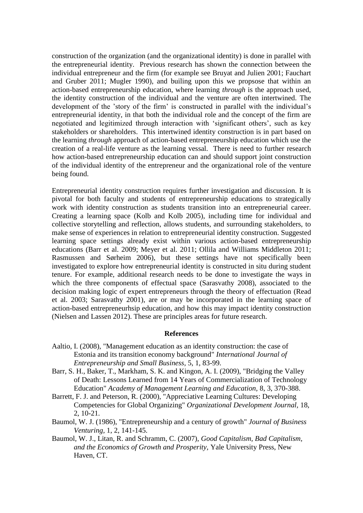construction of the organization (and the organizational identity) is done in parallel with the entrepreneurial identity. Previous research has shown the connection between the individual entrepreneur and the firm (for example see Bruyat and Julien 2001; Fauchart and Gruber 2011; Mugler 1990), and builing upon this we propsose that within an action-based entrepreneurship education, where learning *through* is the approach used, the identity construction of the individual and the venture are often intertwined. The development of the 'story of the firm' is constructed in parallel with the individual's entrepreneurial identity, in that both the individual role and the concept of the firm are negotiated and legitimized through interaction with 'significant others', such as key stakeholders or shareholders. This intertwined identity construction is in part based on the learning *through* approach of action-based entrepreneurship education which use the creation of a real-life venture as the learning vessal. There is need to further research how action-based entrepreneurship education can and should support joint construction of the individual identity of the entrepreneur and the organizational role of the venture being found.

Entrepreneurial identity construction requires further investigation and discussion. It is pivotal for both faculty and students of entrepreneurship educations to strategically work with identity construction as students transition into an entrepreneurial career. Creating a learning space (Kolb and Kolb 2005), including time for individual and collective storytelling and reflection, allows students, and surrounding stakeholders, to make sense of experiences in relation to entrepreneurial identity construction. Suggested learning space settings already exist within various action-based entrepreneurship educations (Barr et al. 2009; Meyer et al. 2011; Ollila and Williams Middleton 2011; Rasmussen and Sørheim 2006), but these settings have not specifically been investigated to explore how entrepreneurial identity is constructed in situ during student tenure. For example, additional research needs to be done to investigate the ways in which the three components of effectual space (Sarasvathy 2008), associated to the decision making logic of expert entrepreneurs through the theory of effectuation (Read et al. 2003; Sarasvathy 2001), are or may be incorporated in the learning space of action-based entrepreneurhsip education, and how this may impact identity construction (Nielsen and Lassen 2012). These are principles areas for future research.

## **References**

- Aaltio, I. (2008), "Management education as an identity construction: the case of Estonia and its transition economy background" *International Journal of Entrepreneurship and Small Business,* 5, 1, 83-99.
- Barr, S. H., Baker, T., Markham, S. K. and Kingon, A. I. (2009), "Bridging the Valley of Death: Lessons Learned from 14 Years of Commercialization of Technology Education" *Academy of Management Learning and Education,* 8, 3, 370-388.
- Barrett, F. J. and Peterson, R. (2000), "Appreciative Learning Cultures: Developing Competencies for Global Organizing" *Organizational Development Journal,* 18, 2, 10-21.
- Baumol, W. J. (1986), "Entrepreneurship and a century of growth" *Journal of Business Venturing,* 1, 2, 141-145.
- Baumol, W. J., Litan, R. and Schramm, C. (2007), *Good Capitalism, Bad Capitalism, and the Economics of Growth and Prosperity,* Yale University Press, New Haven, CT.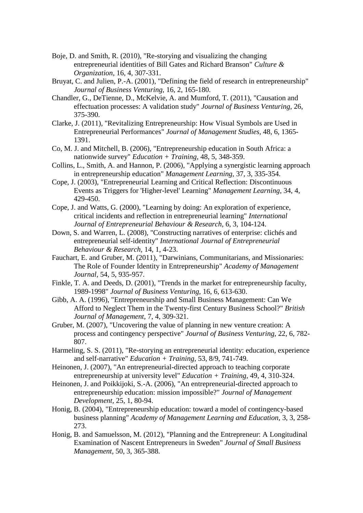- Boje, D. and Smith, R. (2010), "Re-storying and visualizing the changing entrepreneurial identities of Bill Gates and Richard Branson" *Culture & Organization,* 16, 4, 307-331.
- Bruyat, C. and Julien, P.-A. (2001), "Defining the field of research in entrepreneurship" *Journal of Business Venturing,* 16, 2, 165-180.
- Chandler, G., DeTienne, D., McKelvie, A. and Mumford, T. (2011), "Causation and effectuation processes: A validation study" *Journal of Business Venturing,* 26, 375-390.
- Clarke, J. (2011), "Revitalizing Entrepreneurship: How Visual Symbols are Used in Entrepreneurial Performances" *Journal of Management Studies,* 48, 6, 1365- 1391.
- Co, M. J. and Mitchell, B. (2006), "Entrepreneurship education in South Africa: a nationwide survey" *Education + Training,* 48, 5, 348-359.
- Collins, L., Smith, A. and Hannon, P. (2006), "Applying a synergistic learning approach in entrepreneurship education" *Management Learning,* 37, 3, 335-354.
- Cope, J. (2003), "Entrepreneurial Learning and Critical Reflection: Discontinuous Events as Triggers for 'Higher-level' Learning" *Management Learning,* 34, 4, 429-450.
- Cope, J. and Watts, G. (2000), "Learning by doing: An exploration of experience, critical incidents and reflection in entrepreneurial learning" *International Journal of Entrepreneurial Behaviour & Research,* 6, 3, 104-124.
- Down, S. and Warren, L. (2008), "Constructing narratives of enterprise: clichés and entrepreneurial self-identity" *International Journal of Entrepreneurial Behaviour & Research,* 14, 1, 4-23.
- Fauchart, E. and Gruber, M. (2011), "Darwinians, Communitarians, and Missionaries: The Role of Founder Identity in Entrepreneurship" *Academy of Management Journal,* 54, 5, 935-957.
- Finkle, T. A. and Deeds, D. (2001), "Trends in the market for entrepreneurship faculty, 1989-1998" *Journal of Business Venturing,* 16, 6, 613-630.
- Gibb, A. A. (1996), "Entrepreneurship and Small Business Management: Can We Afford to Neglect Them in the Twenty-first Century Business School?" *British Journal of Management,* 7, 4, 309-321.
- Gruber, M. (2007), "Uncovering the value of planning in new venture creation: A process and contingency perspective" *Journal of Business Venturing,* 22, 6, 782- 807.
- Harmeling, S. S. (2011), "Re-storying an entrepreneurial identity: education, experience and self-narrative" *Education + Training,* 53, 8/9, 741-749.
- Heinonen, J. (2007), "An entrepreneurial-directed approach to teaching corporate entrepreneurship at university level" *Education + Training,* 49, 4, 310-324.
- Heinonen, J. and Poikkijoki, S.-A. (2006), "An entrepreneurial-directed approach to entrepreneurship education: mission impossible?" *Journal of Management Development,* 25, 1, 80-94.
- Honig, B. (2004), "Entrepreneurship education: toward a model of contingency-based business planning" *Academy of Management Learning and Education,* 3, 3, 258- 273.
- Honig, B. and Samuelsson, M. (2012), "Planning and the Entrepreneur: A Longitudinal Examination of Nascent Entrepreneurs in Sweden" *Journal of Small Business Management,* 50, 3, 365-388.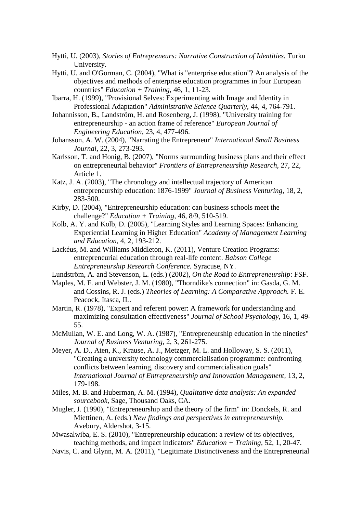- Hytti, U. (2003), *Stories of Entrepreneurs: Narrative Construction of Identities.* Turku University.
- Hytti, U. and O'Gorman, C. (2004), "What is "enterprise education"? An analysis of the objectives and methods of enterprise education programmes in four European countries" *Education + Training,* 46, 1, 11-23.
- Ibarra, H. (1999), "Provisional Selves: Experimenting with Image and Identity in Professional Adaptation" *Administrative Science Quarterly,* 44, 4, 764-791.
- Johannisson, B., Landström, H. and Rosenberg, J. (1998), "University training for entrepreneurship - an action frame of reference" *European Journal of Engineering Education,* 23, 4, 477-496.
- Johansson, A. W. (2004), "Narrating the Entrepreneur" *International Small Business Journal,* 22, 3, 273-293.
- Karlsson, T. and Honig, B. (2007), "Norms surrounding business plans and their effect on entrepreneurial behavior" *Frontiers of Entrepreneurship Research,* 27, 22, Article 1.
- Katz, J. A. (2003), "The chronology and intellectual trajectory of American entrepreneurship education: 1876-1999" *Journal of Business Venturing,* 18, 2, 283-300.
- Kirby, D. (2004), "Entrepreneurship education: can business schools meet the challenge?" *Education + Training,* 46, 8/9, 510-519.
- Kolb, A. Y. and Kolb, D. (2005), "Learning Styles and Learning Spaces: Enhancing Experiential Learning in Higher Education" *Academy of Management Learning and Education,* 4, 2, 193-212.
- Lackéus, M. and Williams Middleton, K. (2011), Venture Creation Programs: entrepreneurial education through real-life content. *Babson College Entrepreneurship Research Conference.* Syracuse, NY.
- Lundström, A. and Stevenson, L. (eds.) (2002), *On the Road to Entrepreneurship*: FSF.
- Maples, M. F. and Webster, J. M. (1980), "Thorndike's connection" in: Gasda, G. M. and Cossins, R. J. (eds.) *Theories of Learning: A Comparative Approach.* F. E. Peacock, Itasca, IL.
- Martin, R. (1978), "Expert and referent power: A framework for understanding and maximizing consultation effectiveness" *Journal of School Psychology,* 16, 1, 49- 55.
- McMullan, W. E. and Long, W. A. (1987), "Entrepreneurship education in the nineties" *Journal of Business Venturing,* 2, 3, 261-275.
- Meyer, A. D., Aten, K., Krause, A. J., Metzger, M. L. and Holloway, S. S. (2011), "Creating a university technology commercialisation programme: confronting conflicts between learning, discovery and commercialisation goals" *International Journal of Entrepreneurship and Innovation Management,* 13, 2, 179-198.
- Miles, M. B. and Huberman, A. M. (1994), *Qualitative data analysis: An expanded sourcebook,* Sage, Thousand Oaks, CA.
- Mugler, J. (1990), "Entrepreneurship and the theory of the firm" in: Donckels, R. and Miettinen, A. (eds.) *New findings and perspectives in entrepreneurship.*  Avebury, Aldershot, 3-15.
- Mwasalwiba, E. S. (2010), "Entrepreneurship education: a review of its objectives, teaching methods, and impact indicators" *Education + Training,* 52, 1, 20-47.
- Navis, C. and Glynn, M. A. (2011), "Legitimate Distinctiveness and the Entrepreneurial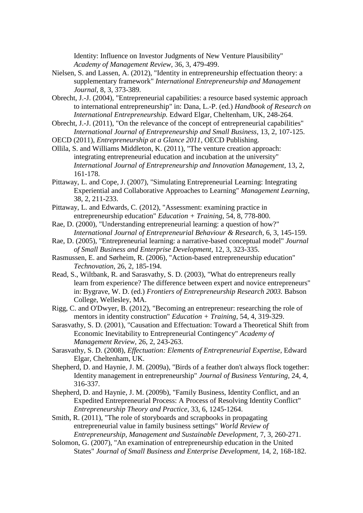Identity: Influence on Investor Judgments of New Venture Plausibility" *Academy of Management Review,* 36, 3, 479-499.

- Nielsen, S. and Lassen, A. (2012), "Identity in entrepreneurship effectuation theory: a supplementary framework" *International Entrepreneurship and Management Journal,* 8, 3, 373-389.
- Obrecht, J.-J. (2004), "Entrepreneurial capabilities: a resource based systemic approach to international entrepreneurship" in: Dana, L.-P. (ed.) *Handbook of Research on International Entrepreneurship.* Edward Elgar, Cheltenham, UK, 248-264.
- Obrecht, J.-J. (2011), "On the relevance of the concept of entrepreneurial capabilities" *International Journal of Entrepreneurship and Small Business,* 13, 2, 107-125.

OECD (2011), *Entrepreneurship at a Glance 2011,* OECD Publishing.

- Ollila, S. and Williams Middleton, K. (2011), "The venture creation approach: integrating entrepreneurial education and incubation at the university" *International Journal of Entrepreneurship and Innovation Management,* 13, 2, 161-178.
- Pittaway, L. and Cope, J. (2007), "Simulating Entrepreneurial Learning: Integrating Experiential and Collaborative Approaches to Learning" *Management Learning,* 38, 2, 211-233.
- Pittaway, L. and Edwards, C. (2012), "Assessment: examining practice in entrepreneurship education" *Education + Training,* 54, 8, 778-800.
- Rae, D. (2000), "Understanding entrepreneurial learning: a question of how?" *International Journal of Entrepreneurial Behaviour & Research,* 6, 3, 145-159.
- Rae, D. (2005), "Entrepreneurial learning: a narrative-based conceptual model" *Journal of Small Business and Enterprise Development,* 12, 3, 323-335.
- Rasmussen, E. and Sørheim, R. (2006), "Action-based entrepreneurship education" *Technovation,* 26, 2, 185-194.
- Read, S., Wiltbank, R. and Sarasvathy, S. D. (2003), "What do entrepreneurs really learn from experience? The difference between expert and novice entrepreneurs" in: Bygrave, W. D. (ed.) *Frontiers of Entrepreneurship Research 2003.* Babson College, Wellesley, MA.
- Rigg, C. and O'Dwyer, B. (2012), "Becoming an entrepreneur: researching the role of mentors in identity construction" *Education + Training,* 54, 4, 319-329.
- Sarasvathy, S. D. (2001), "Causation and Effectuation: Toward a Theoretical Shift from Economic Inevitability to Entrepreneurial Contingency" *Academy of Management Review,* 26, 2, 243-263.
- Sarasvathy, S. D. (2008), *Effectuation: Elements of Entrepreneurial Expertise,* Edward Elgar, Cheltenham, UK.
- Shepherd, D. and Haynie, J. M. (2009a), "Birds of a feather don't always flock together: Identity management in entrepreneurship" *Journal of Business Venturing,* 24, 4, 316-337.
- Shepherd, D. and Haynie, J. M. (2009b), "Family Business, Identity Conflict, and an Expedited Entrepreneurial Process: A Process of Resolving Identity Conflict" *Entrepreneurship Theory and Practice,* 33, 6, 1245-1264.
- Smith, R. (2011), "The role of storyboards and scrapbooks in propagating entrepreneurial value in family business settings" *World Review of Entrepreneurship, Management and Sustainable Development,* 7, 3, 260-271.
- Solomon, G. (2007), "An examination of entrepreneurship education in the United States" *Journal of Small Business and Enterprise Development,* 14, 2, 168-182.